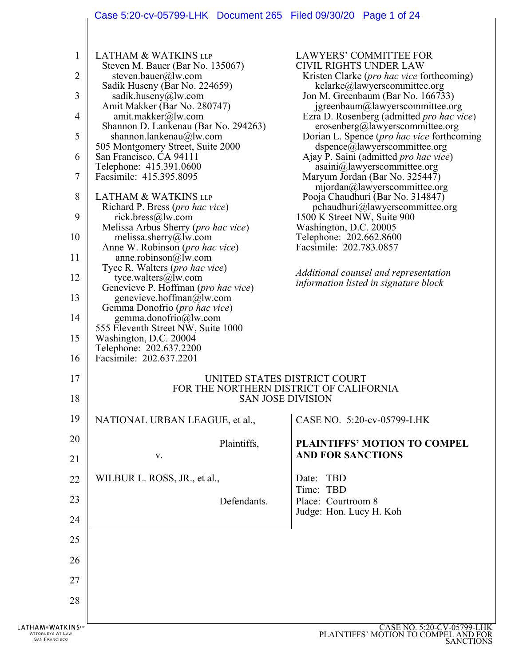# Case 5:20-cv-05799-LHK Document 265 Filed 09/30/20 Page 1 of 24

| 2<br>3<br>4<br>5<br>6<br>$\overline{7}$<br>8<br>9<br>10<br>11<br>12<br>13<br>14<br>15 | Steven M. Bauer (Bar No. 135067)<br>steven.bauer@lw.com<br>Sadik Huseny (Bar No. 224659)<br>sadik.huseny@lw.com<br>Amit Makker (Bar No. 280747)<br>amit.makker@lw.com<br>Shannon D. Lankenau (Bar No. 294263)<br>shannon.lankenau@lw.com<br>505 Montgomery Street, Suite 2000<br>San Francisco, CA 94111<br>Telephone: 415.391.0600<br>Facsimile: 415.395.8095<br><b>LATHAM &amp; WATKINS LLP</b><br>Richard P. Bress (pro hac vice)<br>rick.bress@lw.com<br>Melissa Arbus Sherry (pro hac vice)<br>melissa.sherry@lw.com<br>Anne W. Robinson (pro hac vice)<br>anne. robinson@lw.com<br>Tyce R. Walters ( <i>pro hac vice</i> )<br>tyce.walters@lw.com<br>Genevieve P. Hoffman (pro hac vice)<br>genevieve.hoffman@lw.com<br>Gemma Donofrio (pro hac vice)<br>gemma.donofrio@lw.com<br>555 Eleventh Street NW, Suite 1000<br>Washington, D.C. 20004<br>Telephone: 202.637.2200 | <b>CIVIL RIGHTS UNDER LAW</b><br>Kristen Clarke ( <i>pro hac vice</i> forthcoming)<br>kclarke@lawyerscommittee.org<br>Jon M. Greenbaum (Bar No. 166733)<br>igreenbaum@lawyerscommittee.org<br>Ezra D. Rosenberg (admitted <i>pro hac vice</i> )<br>erosenberg@lawyerscommittee.org<br>Dorian L. Spence (pro hac vice forthcoming<br>dspence@lawyerscommittee.org<br>Ajay P. Saini (admitted <i>pro hac vice</i> )<br>asaini@lawyerscommittee.org<br>Maryum Jordan (Bar No. 325447)<br>mjordan@lawyers committee.org<br>Pooja Chaudhuri (Bar No. 314847)<br>$p$ chaudhuri@lawyerscommittee.org<br>1500 K Street NW, Suite 900<br>Washington, D.C. 20005<br>Telephone: 202.662.8600<br>Facsimile: 202.783.0857<br>Additional counsel and representation<br>information listed in signature block |
|---------------------------------------------------------------------------------------|---------------------------------------------------------------------------------------------------------------------------------------------------------------------------------------------------------------------------------------------------------------------------------------------------------------------------------------------------------------------------------------------------------------------------------------------------------------------------------------------------------------------------------------------------------------------------------------------------------------------------------------------------------------------------------------------------------------------------------------------------------------------------------------------------------------------------------------------------------------------------------|------------------------------------------------------------------------------------------------------------------------------------------------------------------------------------------------------------------------------------------------------------------------------------------------------------------------------------------------------------------------------------------------------------------------------------------------------------------------------------------------------------------------------------------------------------------------------------------------------------------------------------------------------------------------------------------------------------------------------------------------------------------------------------------------|
| 16<br>17<br>18                                                                        | Facsimile: 202.637.2201                                                                                                                                                                                                                                                                                                                                                                                                                                                                                                                                                                                                                                                                                                                                                                                                                                                         | UNITED STATES DISTRICT COURT<br>FOR THE NORTHERN DISTRICT OF CALIFORNIA<br><b>SAN JOSE DIVISION</b>                                                                                                                                                                                                                                                                                                                                                                                                                                                                                                                                                                                                                                                                                            |
| 19                                                                                    | NATIONAL URBAN LEAGUE, et al.,                                                                                                                                                                                                                                                                                                                                                                                                                                                                                                                                                                                                                                                                                                                                                                                                                                                  | CASE NO. 5:20-cv-05799-LHK                                                                                                                                                                                                                                                                                                                                                                                                                                                                                                                                                                                                                                                                                                                                                                     |
| 20                                                                                    | Plaintiffs,                                                                                                                                                                                                                                                                                                                                                                                                                                                                                                                                                                                                                                                                                                                                                                                                                                                                     | PLAINTIFFS' MOTION TO COMPEL                                                                                                                                                                                                                                                                                                                                                                                                                                                                                                                                                                                                                                                                                                                                                                   |
| 21                                                                                    | V.                                                                                                                                                                                                                                                                                                                                                                                                                                                                                                                                                                                                                                                                                                                                                                                                                                                                              | <b>AND FOR SANCTIONS</b>                                                                                                                                                                                                                                                                                                                                                                                                                                                                                                                                                                                                                                                                                                                                                                       |
| 22                                                                                    | WILBUR L. ROSS, JR., et al.,                                                                                                                                                                                                                                                                                                                                                                                                                                                                                                                                                                                                                                                                                                                                                                                                                                                    | Date: TBD<br>Time: TBD                                                                                                                                                                                                                                                                                                                                                                                                                                                                                                                                                                                                                                                                                                                                                                         |
| 23                                                                                    | Defendants.                                                                                                                                                                                                                                                                                                                                                                                                                                                                                                                                                                                                                                                                                                                                                                                                                                                                     | Place: Courtroom 8                                                                                                                                                                                                                                                                                                                                                                                                                                                                                                                                                                                                                                                                                                                                                                             |
| 24                                                                                    |                                                                                                                                                                                                                                                                                                                                                                                                                                                                                                                                                                                                                                                                                                                                                                                                                                                                                 | Judge: Hon. Lucy H. Koh                                                                                                                                                                                                                                                                                                                                                                                                                                                                                                                                                                                                                                                                                                                                                                        |
| 25                                                                                    |                                                                                                                                                                                                                                                                                                                                                                                                                                                                                                                                                                                                                                                                                                                                                                                                                                                                                 |                                                                                                                                                                                                                                                                                                                                                                                                                                                                                                                                                                                                                                                                                                                                                                                                |
| 26                                                                                    |                                                                                                                                                                                                                                                                                                                                                                                                                                                                                                                                                                                                                                                                                                                                                                                                                                                                                 |                                                                                                                                                                                                                                                                                                                                                                                                                                                                                                                                                                                                                                                                                                                                                                                                |
| 27                                                                                    |                                                                                                                                                                                                                                                                                                                                                                                                                                                                                                                                                                                                                                                                                                                                                                                                                                                                                 |                                                                                                                                                                                                                                                                                                                                                                                                                                                                                                                                                                                                                                                                                                                                                                                                |
| 28                                                                                    |                                                                                                                                                                                                                                                                                                                                                                                                                                                                                                                                                                                                                                                                                                                                                                                                                                                                                 |                                                                                                                                                                                                                                                                                                                                                                                                                                                                                                                                                                                                                                                                                                                                                                                                |
| <b>ATKINS</b><br><b>AT LAW</b>                                                        |                                                                                                                                                                                                                                                                                                                                                                                                                                                                                                                                                                                                                                                                                                                                                                                                                                                                                 | <b>CASE NO. 5:20-CV-05799-LHK<br/>PLAINTIFFS' MOTION TO COMPEL AND FOR</b>                                                                                                                                                                                                                                                                                                                                                                                                                                                                                                                                                                                                                                                                                                                     |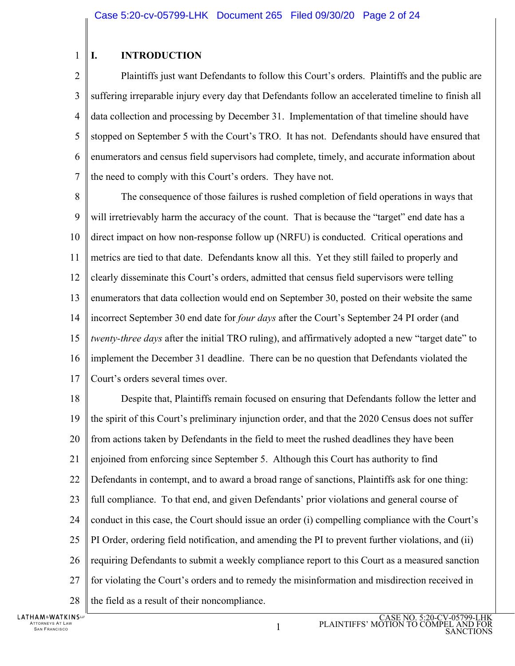#### 1 **I. INTRODUCTION**

 $\overline{2}$ 3 4 5 6 7 Plaintiffs just want Defendants to follow this Court's orders. Plaintiffs and the public are suffering irreparable injury every day that Defendants follow an accelerated timeline to finish all data collection and processing by December 31. Implementation of that timeline should have stopped on September 5 with the Court's TRO. It has not. Defendants should have ensured that enumerators and census field supervisors had complete, timely, and accurate information about the need to comply with this Court's orders. They have not.

8 9 10 11 12 13 14 15 16 17 The consequence of those failures is rushed completion of field operations in ways that will irretrievably harm the accuracy of the count. That is because the "target" end date has a direct impact on how non-response follow up (NRFU) is conducted. Critical operations and metrics are tied to that date. Defendants know all this. Yet they still failed to properly and clearly disseminate this Court's orders, admitted that census field supervisors were telling enumerators that data collection would end on September 30, posted on their website the same incorrect September 30 end date for *four days* after the Court's September 24 PI order (and *twenty-three days* after the initial TRO ruling), and affirmatively adopted a new "target date" to implement the December 31 deadline. There can be no question that Defendants violated the Court's orders several times over.

18 19 20 21 22 23 24 25 26 27 28 Despite that, Plaintiffs remain focused on ensuring that Defendants follow the letter and the spirit of this Court's preliminary injunction order, and that the 2020 Census does not suffer from actions taken by Defendants in the field to meet the rushed deadlines they have been enjoined from enforcing since September 5. Although this Court has authority to find Defendants in contempt, and to award a broad range of sanctions, Plaintiffs ask for one thing: full compliance. To that end, and given Defendants' prior violations and general course of conduct in this case, the Court should issue an order (i) compelling compliance with the Court's PI Order, ordering field notification, and amending the PI to prevent further violations, and (ii) requiring Defendants to submit a weekly compliance report to this Court as a measured sanction for violating the Court's orders and to remedy the misinformation and misdirection received in the field as a result of their noncompliance.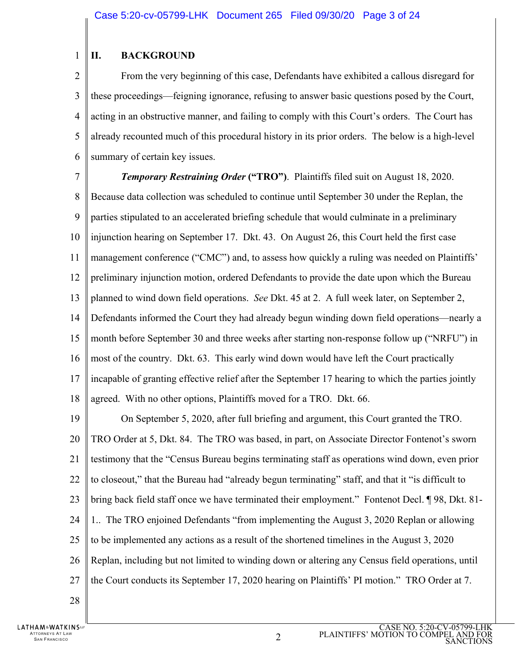#### 1 **II. BACKGROUND**

 $\overline{2}$ 3 4 5 6 From the very beginning of this case, Defendants have exhibited a callous disregard for these proceedings—feigning ignorance, refusing to answer basic questions posed by the Court, acting in an obstructive manner, and failing to comply with this Court's orders. The Court has already recounted much of this procedural history in its prior orders. The below is a high-level summary of certain key issues.

7

**Temporary Restraining Order ("TRO").** Plaintiffs filed suit on August 18, 2020.

8 9 10 11 12 13 14 15 16 17 18 Because data collection was scheduled to continue until September 30 under the Replan, the parties stipulated to an accelerated briefing schedule that would culminate in a preliminary injunction hearing on September 17. Dkt. 43. On August 26, this Court held the first case management conference ("CMC") and, to assess how quickly a ruling was needed on Plaintiffs' preliminary injunction motion, ordered Defendants to provide the date upon which the Bureau planned to wind down field operations. *See* Dkt. 45 at 2. A full week later, on September 2, Defendants informed the Court they had already begun winding down field operations—nearly a month before September 30 and three weeks after starting non-response follow up ("NRFU") in most of the country. Dkt. 63. This early wind down would have left the Court practically incapable of granting effective relief after the September 17 hearing to which the parties jointly agreed. With no other options, Plaintiffs moved for a TRO. Dkt. 66.

19 20 21 22 23 24 25 26 27 28 On September 5, 2020, after full briefing and argument, this Court granted the TRO. TRO Order at 5, Dkt. 84. The TRO was based, in part, on Associate Director Fontenot's sworn testimony that the "Census Bureau begins terminating staff as operations wind down, even prior to closeout," that the Bureau had "already begun terminating" staff, and that it "is difficult to bring back field staff once we have terminated their employment." Fontenot Decl. ¶ 98, Dkt. 81- 1.. The TRO enjoined Defendants "from implementing the August 3, 2020 Replan or allowing to be implemented any actions as a result of the shortened timelines in the August 3, 2020 Replan, including but not limited to winding down or altering any Census field operations, until the Court conducts its September 17, 2020 hearing on Plaintiffs' PI motion." TRO Order at 7.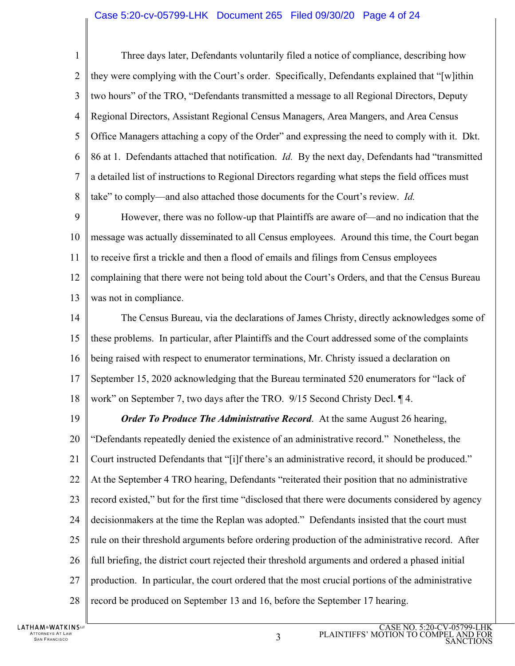## Case 5:20-cv-05799-LHK Document 265 Filed 09/30/20 Page 4 of 24

1  $\mathcal{D}_{\mathcal{L}}$ 3 4 5 6 7 8 Three days later, Defendants voluntarily filed a notice of compliance, describing how they were complying with the Court's order. Specifically, Defendants explained that "[w]ithin two hours" of the TRO, "Defendants transmitted a message to all Regional Directors, Deputy Regional Directors, Assistant Regional Census Managers, Area Mangers, and Area Census Office Managers attaching a copy of the Order" and expressing the need to comply with it. Dkt. 86 at 1. Defendants attached that notification. *Id.* By the next day, Defendants had "transmitted a detailed list of instructions to Regional Directors regarding what steps the field offices must take" to comply—and also attached those documents for the Court's review. *Id.* 

9 10 11 12 13 However, there was no follow-up that Plaintiffs are aware of—and no indication that the message was actually disseminated to all Census employees. Around this time, the Court began to receive first a trickle and then a flood of emails and filings from Census employees complaining that there were not being told about the Court's Orders, and that the Census Bureau was not in compliance.

14 15 16 17 18 The Census Bureau, via the declarations of James Christy, directly acknowledges some of these problems. In particular, after Plaintiffs and the Court addressed some of the complaints being raised with respect to enumerator terminations, Mr. Christy issued a declaration on September 15, 2020 acknowledging that the Bureau terminated 520 enumerators for "lack of work" on September 7, two days after the TRO. 9/15 Second Christy Decl. ¶ 4.

19 20 21 22 23 24 25 26 27 28 *Order To Produce The Administrative Record.* At the same August 26 hearing, "Defendants repeatedly denied the existence of an administrative record." Nonetheless, the Court instructed Defendants that "[i]f there's an administrative record, it should be produced." At the September 4 TRO hearing, Defendants "reiterated their position that no administrative record existed," but for the first time "disclosed that there were documents considered by agency decisionmakers at the time the Replan was adopted." Defendants insisted that the court must rule on their threshold arguments before ordering production of the administrative record. After full briefing, the district court rejected their threshold arguments and ordered a phased initial production. In particular, the court ordered that the most crucial portions of the administrative record be produced on September 13 and 16, before the September 17 hearing.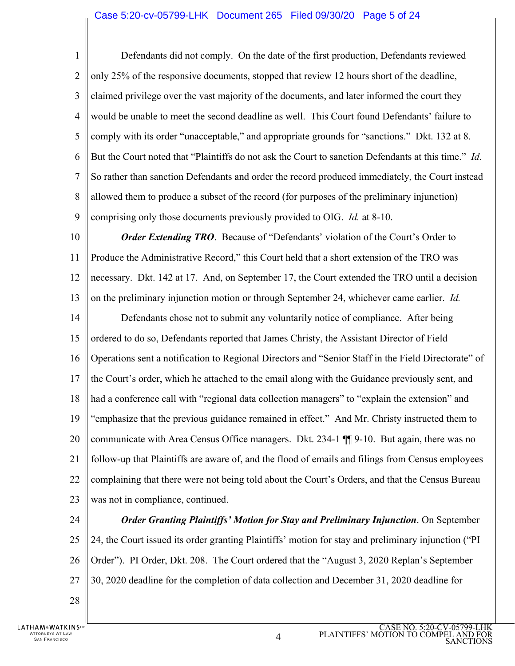1  $\mathcal{D}_{\mathcal{L}}$ 3 4 5 6 7 8 9 Defendants did not comply. On the date of the first production, Defendants reviewed only 25% of the responsive documents, stopped that review 12 hours short of the deadline, claimed privilege over the vast majority of the documents, and later informed the court they would be unable to meet the second deadline as well. This Court found Defendants' failure to comply with its order "unacceptable," and appropriate grounds for "sanctions." Dkt. 132 at 8. But the Court noted that "Plaintiffs do not ask the Court to sanction Defendants at this time." *Id.* So rather than sanction Defendants and order the record produced immediately, the Court instead allowed them to produce a subset of the record (for purposes of the preliminary injunction) comprising only those documents previously provided to OIG. *Id.* at 8-10.

10 11 12 13 14 15 16 17 18 19 20 21 22 23 *Order Extending TRO.* Because of "Defendants' violation of the Court's Order to Produce the Administrative Record," this Court held that a short extension of the TRO was necessary. Dkt. 142 at 17. And, on September 17, the Court extended the TRO until a decision on the preliminary injunction motion or through September 24, whichever came earlier. *Id.*  Defendants chose not to submit any voluntarily notice of compliance. After being ordered to do so, Defendants reported that James Christy, the Assistant Director of Field Operations sent a notification to Regional Directors and "Senior Staff in the Field Directorate" of the Court's order, which he attached to the email along with the Guidance previously sent, and had a conference call with "regional data collection managers" to "explain the extension" and "emphasize that the previous guidance remained in effect." And Mr. Christy instructed them to communicate with Area Census Office managers. Dkt. 234-1 ¶¶ 9-10. But again, there was no follow-up that Plaintiffs are aware of, and the flood of emails and filings from Census employees complaining that there were not being told about the Court's Orders, and that the Census Bureau was not in compliance, continued.

24

25 26 27 *Order Granting Plaintiffs' Motion for Stay and Preliminary Injunction*. On September 24, the Court issued its order granting Plaintiffs' motion for stay and preliminary injunction ("PI Order"). PI Order, Dkt. 208. The Court ordered that the "August 3, 2020 Replan's September 30, 2020 deadline for the completion of data collection and December 31, 2020 deadline for

28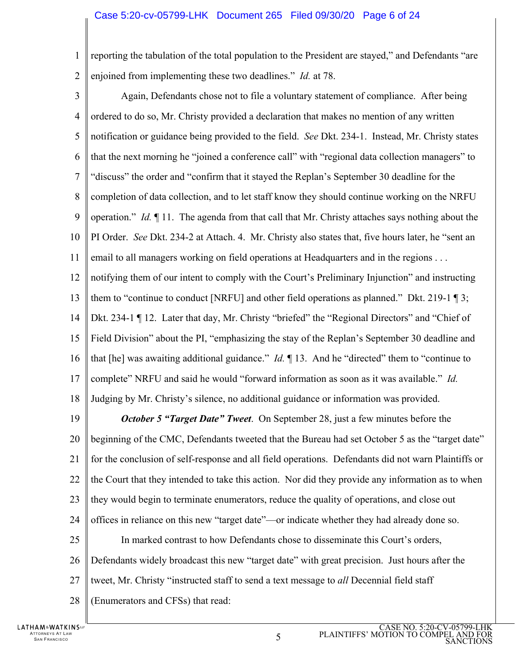## Case 5:20-cv-05799-LHK Document 265 Filed 09/30/20 Page 6 of 24

1  $\mathcal{D}_{\mathcal{L}}$ reporting the tabulation of the total population to the President are stayed," and Defendants "are enjoined from implementing these two deadlines." *Id.* at 78.

3 4 5 6 7 8 9 10 11 12 13 14 15 16 17 18 19 20 21 22 Again, Defendants chose not to file a voluntary statement of compliance. After being ordered to do so, Mr. Christy provided a declaration that makes no mention of any written notification or guidance being provided to the field. *See* Dkt. 234-1. Instead, Mr. Christy states that the next morning he "joined a conference call" with "regional data collection managers" to "discuss" the order and "confirm that it stayed the Replan's September 30 deadline for the completion of data collection, and to let staff know they should continue working on the NRFU operation." *Id.* ¶ 11. The agenda from that call that Mr. Christy attaches says nothing about the PI Order. *See* Dkt. 234-2 at Attach. 4. Mr. Christy also states that, five hours later, he "sent an email to all managers working on field operations at Headquarters and in the regions . . . notifying them of our intent to comply with the Court's Preliminary Injunction" and instructing them to "continue to conduct [NRFU] and other field operations as planned." Dkt. 219-1 ¶ 3; Dkt. 234-1 ¶ 12. Later that day, Mr. Christy "briefed" the "Regional Directors" and "Chief of Field Division" about the PI, "emphasizing the stay of the Replan's September 30 deadline and that [he] was awaiting additional guidance." *Id.* ¶ 13. And he "directed" them to "continue to complete" NRFU and said he would "forward information as soon as it was available." *Id.*  Judging by Mr. Christy's silence, no additional guidance or information was provided. *October 5 "Target Date" Tweet*. On September 28, just a few minutes before the beginning of the CMC, Defendants tweeted that the Bureau had set October 5 as the "target date" for the conclusion of self-response and all field operations. Defendants did not warn Plaintiffs or the Court that they intended to take this action. Nor did they provide any information as to when

- 23 they would begin to terminate enumerators, reduce the quality of operations, and close out
- 24 offices in reliance on this new "target date"—or indicate whether they had already done so.
- 25 In marked contrast to how Defendants chose to disseminate this Court's orders,
- 26 Defendants widely broadcast this new "target date" with great precision. Just hours after the
- 27 tweet, Mr. Christy "instructed staff to send a text message to *all* Decennial field staff
- 28 (Enumerators and CFSs) that read: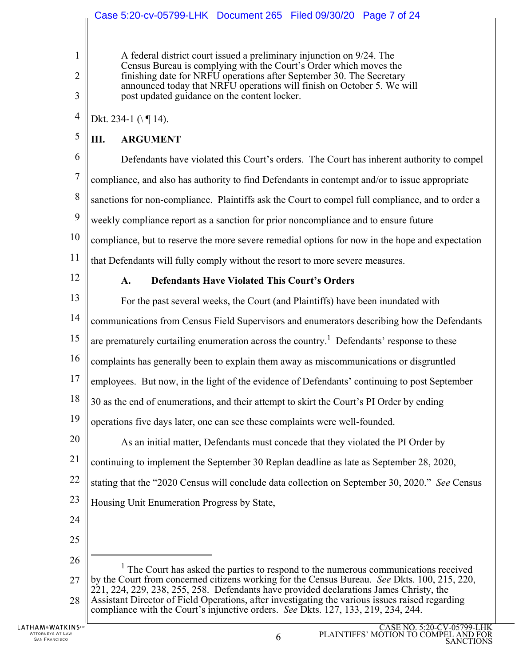A federal district court issued a preliminary injunction on 9/24. The Census Bureau is complying with the Court's Order which moves the finishing date for NRFU operations after September 30. The Secretary announced today that NRFU operations will finish on October 5. We will post updated guidance on the content locker.

4 Dkt. 234-1  $(\sqrt{9} 14)$ .

5 **III. ARGUMENT** 

6 7 8 9 10 11 Defendants have violated this Court's orders. The Court has inherent authority to compel compliance, and also has authority to find Defendants in contempt and/or to issue appropriate sanctions for non-compliance. Plaintiffs ask the Court to compel full compliance, and to order a weekly compliance report as a sanction for prior noncompliance and to ensure future compliance, but to reserve the more severe remedial options for now in the hope and expectation that Defendants will fully comply without the resort to more severe measures.

12

1

 $\overline{2}$ 

3

## **A. Defendants Have Violated This Court's Orders**

13 14 15 16 17 18 19 20 21 22 23 24 25 26 27 28 For the past several weeks, the Court (and Plaintiffs) have been inundated with communications from Census Field Supervisors and enumerators describing how the Defendants are prematurely curtailing enumeration across the country.<sup>1</sup> Defendants' response to these complaints has generally been to explain them away as miscommunications or disgruntled employees. But now, in the light of the evidence of Defendants' continuing to post September 30 as the end of enumerations, and their attempt to skirt the Court's PI Order by ending operations five days later, one can see these complaints were well-founded. As an initial matter, Defendants must concede that they violated the PI Order by continuing to implement the September 30 Replan deadline as late as September 28, 2020, stating that the "2020 Census will conclude data collection on September 30, 2020." *See* Census Housing Unit Enumeration Progress by State, 1 <sup>1</sup> The Court has asked the parties to respond to the numerous communications received by the Court from concerned citizens working for the Census Bureau. *See* Dkts. 100, 215, 220, 221, 224, 229, 238, 255, 258. Defendants have provided declarations James Christy, the Assistant Director of Field Operations, after investigating the various issues raised regarding

compliance with the Court's injunctive orders. *See* Dkts. 127, 133, 219, 234, 244.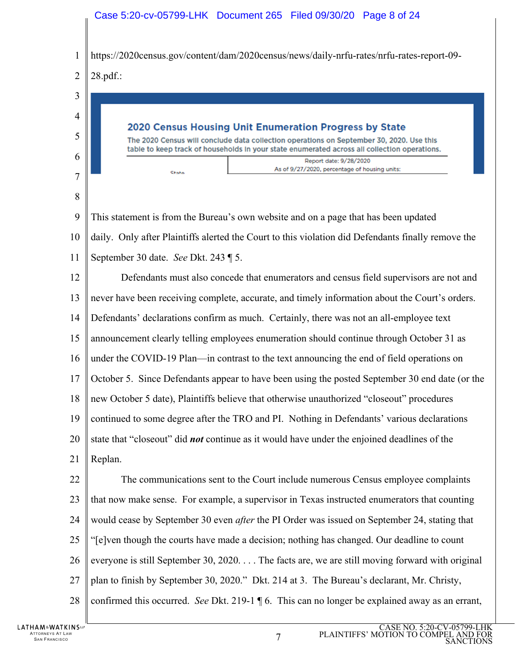## Case 5:20-cv-05799-LHK Document 265 Filed 09/30/20 Page 8 of 24

1 https://2020census.gov/content/dam/2020census/news/daily-nrfu-rates/nrfu-rates-report-09-



9 10 11 This statement is from the Bureau's own website and on a page that has been updated daily. Only after Plaintiffs alerted the Court to this violation did Defendants finally remove the September 30 date. *See* Dkt. 243 ¶ 5.

12 13 14 15 16 17 18 19 20 21 Defendants must also concede that enumerators and census field supervisors are not and never have been receiving complete, accurate, and timely information about the Court's orders. Defendants' declarations confirm as much. Certainly, there was not an all-employee text announcement clearly telling employees enumeration should continue through October 31 as under the COVID-19 Plan—in contrast to the text announcing the end of field operations on October 5. Since Defendants appear to have been using the posted September 30 end date (or the new October 5 date), Plaintiffs believe that otherwise unauthorized "closeout" procedures continued to some degree after the TRO and PI. Nothing in Defendants' various declarations state that "closeout" did *not* continue as it would have under the enjoined deadlines of the Replan.

22 23 24 25 26 27 28 The communications sent to the Court include numerous Census employee complaints that now make sense. For example, a supervisor in Texas instructed enumerators that counting would cease by September 30 even *after* the PI Order was issued on September 24, stating that "[e]ven though the courts have made a decision; nothing has changed. Our deadline to count everyone is still September 30, 2020. . . . The facts are, we are still moving forward with original plan to finish by September 30, 2020." Dkt. 214 at 3. The Bureau's declarant, Mr. Christy, confirmed this occurred. *See* Dkt. 219-1 ¶ 6. This can no longer be explained away as an errant,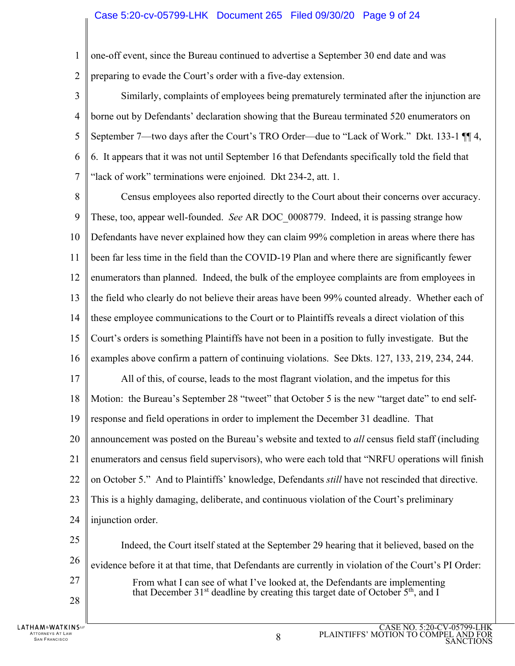## Case 5:20-cv-05799-LHK Document 265 Filed 09/30/20 Page 9 of 24

- 1  $\mathcal{D}_{\mathcal{L}}$ one-off event, since the Bureau continued to advertise a September 30 end date and was preparing to evade the Court's order with a five-day extension.
- 3 4 5 6 7 Similarly, complaints of employees being prematurely terminated after the injunction are borne out by Defendants' declaration showing that the Bureau terminated 520 enumerators on September 7—two days after the Court's TRO Order—due to "Lack of Work." Dkt. 133-1 ¶¶ 4, 6. It appears that it was not until September 16 that Defendants specifically told the field that "lack of work" terminations were enjoined. Dkt 234-2, att. 1.
- 8 9 10 11 12 13 14 15 16 17 18 19 20 21 22 23 24 Census employees also reported directly to the Court about their concerns over accuracy. These, too, appear well-founded. *See* AR DOC\_0008779. Indeed, it is passing strange how Defendants have never explained how they can claim 99% completion in areas where there has been far less time in the field than the COVID-19 Plan and where there are significantly fewer enumerators than planned. Indeed, the bulk of the employee complaints are from employees in the field who clearly do not believe their areas have been 99% counted already. Whether each of these employee communications to the Court or to Plaintiffs reveals a direct violation of this Court's orders is something Plaintiffs have not been in a position to fully investigate. But the examples above confirm a pattern of continuing violations. See Dkts. 127, 133, 219, 234, 244. All of this, of course, leads to the most flagrant violation, and the impetus for this Motion: the Bureau's September 28 "tweet" that October 5 is the new "target date" to end selfresponse and field operations in order to implement the December 31 deadline. That announcement was posted on the Bureau's website and texted to *all* census field staff (including enumerators and census field supervisors), who were each told that "NRFU operations will finish on October 5." And to Plaintiffs' knowledge, Defendants *still* have not rescinded that directive. This is a highly damaging, deliberate, and continuous violation of the Court's preliminary injunction order.
- 25 26 27 28 Indeed, the Court itself stated at the September 29 hearing that it believed, based on the evidence before it at that time, that Defendants are currently in violation of the Court's PI Order: From what I can see of what I've looked at, the Defendants are implementing that December  $31<sup>st</sup>$  deadline by creating this target date of October  $5<sup>th</sup>$ , and I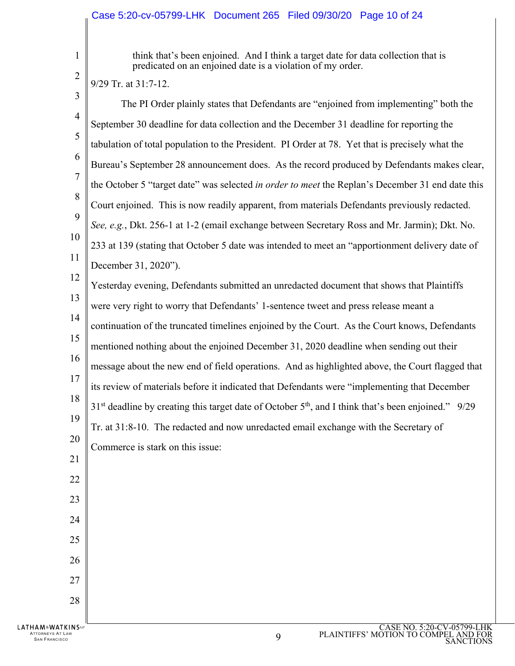1 2 think that's been enjoined. And I think a target date for data collection that is predicated on an enjoined date is a violation of my order.

CASE NO. 5:20-CV-05799-LHK 3 4 5 6 7 8 9 10 11 12 13 14 15 16 17 18 19 20 21 22 23 24 25 26 27 28 9/29 Tr. at 31:7-12. The PI Order plainly states that Defendants are "enjoined from implementing" both the September 30 deadline for data collection and the December 31 deadline for reporting the tabulation of total population to the President. PI Order at 78. Yet that is precisely what the Bureau's September 28 announcement does. As the record produced by Defendants makes clear, the October 5 "target date" was selected *in order to meet* the Replan's December 31 end date this Court enjoined. This is now readily apparent, from materials Defendants previously redacted. *See, e.g.*, Dkt. 256-1 at 1-2 (email exchange between Secretary Ross and Mr. Jarmin); Dkt. No. 233 at 139 (stating that October 5 date was intended to meet an "apportionment delivery date of December 31, 2020"). Yesterday evening, Defendants submitted an unredacted document that shows that Plaintiffs were very right to worry that Defendants' 1-sentence tweet and press release meant a continuation of the truncated timelines enjoined by the Court. As the Court knows, Defendants mentioned nothing about the enjoined December 31, 2020 deadline when sending out their message about the new end of field operations. And as highlighted above, the Court flagged that its review of materials before it indicated that Defendants were "implementing that December  $31<sup>st</sup>$  deadline by creating this target date of October  $5<sup>th</sup>$ , and I think that's been enjoined." 9/29 Tr. at 31:8-10. The redacted and now unredacted email exchange with the Secretary of Commerce is stark on this issue: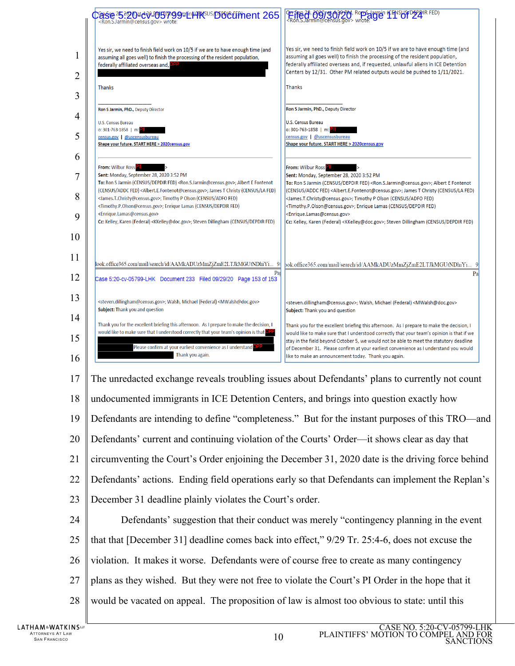

- plans as they wished. But they were not free to violate the Court's PI Order in the hope that it
- would be vacated on appeal. The proposition of law is almost too obvious to state: until this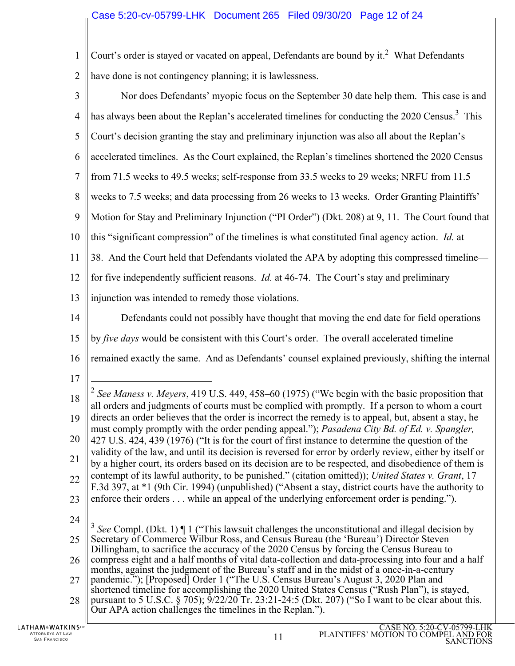| $\mathbf{1}$   | Court's order is stayed or vacated on appeal, Defendants are bound by it. <sup>2</sup> What Defendants                                                                                                                                                                                                                                                                                                                                                                                                                                                                                                                                                                                                                                        |  |  |
|----------------|-----------------------------------------------------------------------------------------------------------------------------------------------------------------------------------------------------------------------------------------------------------------------------------------------------------------------------------------------------------------------------------------------------------------------------------------------------------------------------------------------------------------------------------------------------------------------------------------------------------------------------------------------------------------------------------------------------------------------------------------------|--|--|
| $\overline{2}$ | have done is not contingency planning; it is lawlessness.                                                                                                                                                                                                                                                                                                                                                                                                                                                                                                                                                                                                                                                                                     |  |  |
| 3              | Nor does Defendants' myopic focus on the September 30 date help them. This case is and                                                                                                                                                                                                                                                                                                                                                                                                                                                                                                                                                                                                                                                        |  |  |
| $\overline{4}$ | has always been about the Replan's accelerated timelines for conducting the 2020 Census. <sup>3</sup> This                                                                                                                                                                                                                                                                                                                                                                                                                                                                                                                                                                                                                                    |  |  |
| 5              | Court's decision granting the stay and preliminary injunction was also all about the Replan's                                                                                                                                                                                                                                                                                                                                                                                                                                                                                                                                                                                                                                                 |  |  |
| 6              | accelerated timelines. As the Court explained, the Replan's timelines shortened the 2020 Census                                                                                                                                                                                                                                                                                                                                                                                                                                                                                                                                                                                                                                               |  |  |
| 7              | from 71.5 weeks to 49.5 weeks; self-response from 33.5 weeks to 29 weeks; NRFU from 11.5                                                                                                                                                                                                                                                                                                                                                                                                                                                                                                                                                                                                                                                      |  |  |
| 8              | weeks to 7.5 weeks; and data processing from 26 weeks to 13 weeks. Order Granting Plaintiffs'                                                                                                                                                                                                                                                                                                                                                                                                                                                                                                                                                                                                                                                 |  |  |
| 9              | Motion for Stay and Preliminary Injunction ("PI Order") (Dkt. 208) at 9, 11. The Court found that                                                                                                                                                                                                                                                                                                                                                                                                                                                                                                                                                                                                                                             |  |  |
| 10             | this "significant compression" of the timelines is what constituted final agency action. Id. at                                                                                                                                                                                                                                                                                                                                                                                                                                                                                                                                                                                                                                               |  |  |
| 11             | 38. And the Court held that Defendants violated the APA by adopting this compressed timeline—                                                                                                                                                                                                                                                                                                                                                                                                                                                                                                                                                                                                                                                 |  |  |
| 12             | for five independently sufficient reasons. <i>Id.</i> at 46-74. The Court's stay and preliminary                                                                                                                                                                                                                                                                                                                                                                                                                                                                                                                                                                                                                                              |  |  |
| 13             | injunction was intended to remedy those violations.                                                                                                                                                                                                                                                                                                                                                                                                                                                                                                                                                                                                                                                                                           |  |  |
| 14             | Defendants could not possibly have thought that moving the end date for field operations                                                                                                                                                                                                                                                                                                                                                                                                                                                                                                                                                                                                                                                      |  |  |
| 15             | by five days would be consistent with this Court's order. The overall accelerated timeline                                                                                                                                                                                                                                                                                                                                                                                                                                                                                                                                                                                                                                                    |  |  |
| 16             | remained exactly the same. And as Defendants' counsel explained previously, shifting the internal                                                                                                                                                                                                                                                                                                                                                                                                                                                                                                                                                                                                                                             |  |  |
| 17             |                                                                                                                                                                                                                                                                                                                                                                                                                                                                                                                                                                                                                                                                                                                                               |  |  |
| 18             | <sup>2</sup> See Maness v. Meyers, 419 U.S. 449, 458–60 (1975) ("We begin with the basic proposition that<br>all orders and judgments of courts must be complied with promptly. If a person to whom a court<br>directs an order believes that the order is incorrect the remedy is to appeal, but, absent a stay, he<br>must comply promptly with the order pending appeal."); Pasadena City Bd. of Ed. v. Spangler,<br>427 U.S. 424, 439 (1976) ("It is for the court of first instance to determine the question of the<br>validity of the law, and until its decision is reversed for error by orderly review, either by itself or<br>by a higher court, its orders based on its decision are to be respected, and disobedience of them is |  |  |
| 19             |                                                                                                                                                                                                                                                                                                                                                                                                                                                                                                                                                                                                                                                                                                                                               |  |  |
| 20             |                                                                                                                                                                                                                                                                                                                                                                                                                                                                                                                                                                                                                                                                                                                                               |  |  |
| 21             |                                                                                                                                                                                                                                                                                                                                                                                                                                                                                                                                                                                                                                                                                                                                               |  |  |
| 22             | contempt of its lawful authority, to be punished." (citation omitted)); United States v. Grant, 17<br>F.3d 397, at *1 (9th Cir. 1994) (unpublished) ("Absent a stay, district courts have the authority to                                                                                                                                                                                                                                                                                                                                                                                                                                                                                                                                    |  |  |
| 23             | enforce their orders while an appeal of the underlying enforcement order is pending.").                                                                                                                                                                                                                                                                                                                                                                                                                                                                                                                                                                                                                                                       |  |  |
| 24             | 3<br>See Compl. (Dkt. 1) $\P$ 1 ("This lawsuit challenges the unconstitutional and illegal decision by                                                                                                                                                                                                                                                                                                                                                                                                                                                                                                                                                                                                                                        |  |  |
| 25             | Secretary of Commerce Wilbur Ross, and Census Bureau (the 'Bureau') Director Steven<br>Dillingham, to sacrifice the accuracy of the 2020 Census by forcing the Census Bureau to<br>compress eight and a half months of vital data-collection and data-processing into four and a half<br>months, against the judgment of the Bureau's staff and in the midst of a once-in-a-century                                                                                                                                                                                                                                                                                                                                                           |  |  |
| 26             |                                                                                                                                                                                                                                                                                                                                                                                                                                                                                                                                                                                                                                                                                                                                               |  |  |
| 27             | pandemic."); [Proposed] Order 1 ("The U.S. Census Bureau's August 3, 2020 Plan and<br>shortened timeline for accomplishing the 2020 United States Census ("Rush Plan"), is stayed,                                                                                                                                                                                                                                                                                                                                                                                                                                                                                                                                                            |  |  |
| 28             | pursuant to 5 U.S.C. § 705); 9/22/20 Tr. 23:21-24:5 (Dkt. 207) ("So I want to be clear about this.<br>Our APA action challenges the timelines in the Replan.").                                                                                                                                                                                                                                                                                                                                                                                                                                                                                                                                                                               |  |  |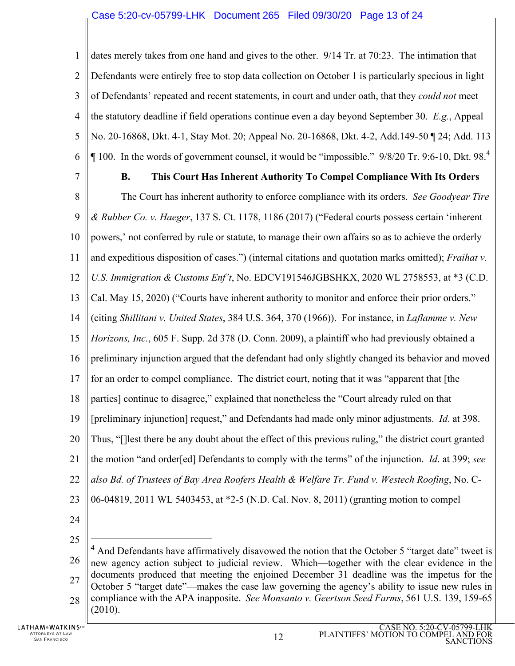1  $\mathfrak{D}$ 3 4 5 6 dates merely takes from one hand and gives to the other. 9/14 Tr. at 70:23. The intimation that Defendants were entirely free to stop data collection on October 1 is particularly specious in light of Defendants' repeated and recent statements, in court and under oath, that they *could not* meet the statutory deadline if field operations continue even a day beyond September 30. *E.g.*, Appeal No. 20-16868, Dkt. 4-1, Stay Mot. 20; Appeal No. 20-16868, Dkt. 4-2, Add.149-50 ¶ 24; Add. 113  $\P$  100. In the words of government counsel, it would be "impossible." 9/8/20 Tr. 9:6-10, Dkt. 98.<sup>4</sup>

7

## **B. This Court Has Inherent Authority To Compel Compliance With Its Orders**

8 9 10 11 12 13 14 15 16 17 18 19 20 21 22 23 The Court has inherent authority to enforce compliance with its orders. *See Goodyear Tire & Rubber Co. v. Haeger*, 137 S. Ct. 1178, 1186 (2017) ("Federal courts possess certain 'inherent powers,' not conferred by rule or statute, to manage their own affairs so as to achieve the orderly and expeditious disposition of cases.") (internal citations and quotation marks omitted); *Fraihat v. U.S. Immigration & Customs Enf't*, No. EDCV191546JGBSHKX, 2020 WL 2758553, at \*3 (C.D. Cal. May 15, 2020) ("Courts have inherent authority to monitor and enforce their prior orders." (citing *Shillitani v. United States*, 384 U.S. 364, 370 (1966)). For instance, in *Laflamme v. New Horizons, Inc.*, 605 F. Supp. 2d 378 (D. Conn. 2009), a plaintiff who had previously obtained a preliminary injunction argued that the defendant had only slightly changed its behavior and moved for an order to compel compliance. The district court, noting that it was "apparent that [the parties] continue to disagree," explained that nonetheless the "Court already ruled on that [preliminary injunction] request," and Defendants had made only minor adjustments. *Id*. at 398. Thus, "[]lest there be any doubt about the effect of this previous ruling," the district court granted the motion "and order[ed] Defendants to comply with the terms" of the injunction. *Id*. at 399; *see also Bd. of Trustees of Bay Area Roofers Health & Welfare Tr. Fund v. Westech Roofing*, No. C-06-04819, 2011 WL 5403453, at \*2-5 (N.D. Cal. Nov. 8, 2011) (granting motion to compel

24

25

 $\overline{a}$ 

<sup>26</sup> 27 28  $<sup>4</sup>$  And Defendants have affirmatively disavowed the notion that the October 5 "target date" tweet is</sup> new agency action subject to judicial review. Which—together with the clear evidence in the documents produced that meeting the enjoined December 31 deadline was the impetus for the October 5 "target date"—makes the case law governing the agency's ability to issue new rules in compliance with the APA inapposite. *See Monsanto v. Geertson Seed Farms*, 561 U.S. 139, 159-65 (2010).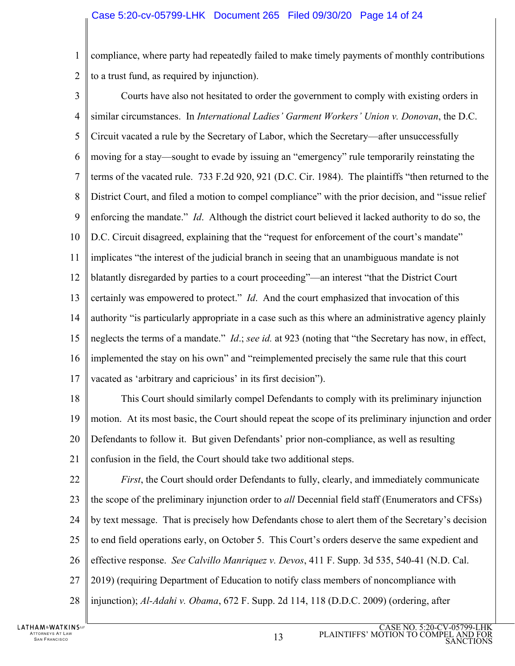1  $\mathfrak{D}$ compliance, where party had repeatedly failed to make timely payments of monthly contributions to a trust fund, as required by injunction).

3 4 5 6 7 8 9 10 11 12 13 14 15 16 17 Courts have also not hesitated to order the government to comply with existing orders in similar circumstances. In *International Ladies' Garment Workers' Union v. Donovan*, the D.C. Circuit vacated a rule by the Secretary of Labor, which the Secretary—after unsuccessfully moving for a stay—sought to evade by issuing an "emergency" rule temporarily reinstating the terms of the vacated rule. 733 F.2d 920, 921 (D.C. Cir. 1984). The plaintiffs "then returned to the District Court, and filed a motion to compel compliance" with the prior decision, and "issue relief enforcing the mandate." *Id*. Although the district court believed it lacked authority to do so, the D.C. Circuit disagreed, explaining that the "request for enforcement of the court's mandate" implicates "the interest of the judicial branch in seeing that an unambiguous mandate is not blatantly disregarded by parties to a court proceeding"—an interest "that the District Court certainly was empowered to protect." *Id*. And the court emphasized that invocation of this authority "is particularly appropriate in a case such as this where an administrative agency plainly neglects the terms of a mandate." *Id*.; *see id.* at 923 (noting that "the Secretary has now, in effect, implemented the stay on his own" and "reimplemented precisely the same rule that this court vacated as 'arbitrary and capricious' in its first decision").

18 19 20 21 This Court should similarly compel Defendants to comply with its preliminary injunction motion. At its most basic, the Court should repeat the scope of its preliminary injunction and order Defendants to follow it. But given Defendants' prior non-compliance, as well as resulting confusion in the field, the Court should take two additional steps.

22 23 24 25 26 27 28 *First*, the Court should order Defendants to fully, clearly, and immediately communicate the scope of the preliminary injunction order to *all* Decennial field staff (Enumerators and CFSs) by text message. That is precisely how Defendants chose to alert them of the Secretary's decision to end field operations early, on October 5. This Court's orders deserve the same expedient and effective response. *See Calvillo Manriquez v. Devos*, 411 F. Supp. 3d 535, 540-41 (N.D. Cal. 2019) (requiring Department of Education to notify class members of noncompliance with injunction); *Al-Adahi v. Obama*, 672 F. Supp. 2d 114, 118 (D.D.C. 2009) (ordering, after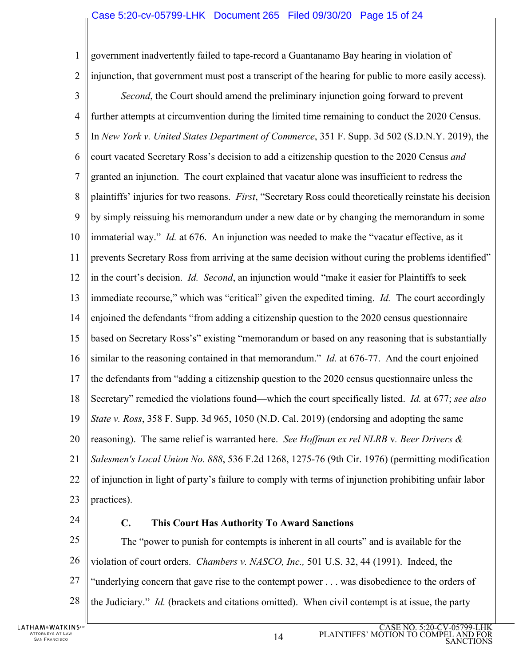## Case 5:20-cv-05799-LHK Document 265 Filed 09/30/20 Page 15 of 24

1  $\mathcal{D}_{\mathcal{L}}$ 3 4 5 6 7 8 9 10 11 12 13 14 15 16 17 18 19 20 21 22 23 government inadvertently failed to tape-record a Guantanamo Bay hearing in violation of injunction, that government must post a transcript of the hearing for public to more easily access). *Second*, the Court should amend the preliminary injunction going forward to prevent further attempts at circumvention during the limited time remaining to conduct the 2020 Census. In *New York v. United States Department of Commerce*, 351 F. Supp. 3d 502 (S.D.N.Y. 2019), the court vacated Secretary Ross's decision to add a citizenship question to the 2020 Census *and* granted an injunction. The court explained that vacatur alone was insufficient to redress the plaintiffs' injuries for two reasons. *First*, "Secretary Ross could theoretically reinstate his decision by simply reissuing his memorandum under a new date or by changing the memorandum in some immaterial way." *Id.* at 676. An injunction was needed to make the "vacatur effective, as it prevents Secretary Ross from arriving at the same decision without curing the problems identified" in the court's decision. *Id. Second*, an injunction would "make it easier for Plaintiffs to seek immediate recourse," which was "critical" given the expedited timing. *Id.* The court accordingly enjoined the defendants "from adding a citizenship question to the 2020 census questionnaire based on Secretary Ross's" existing "memorandum or based on any reasoning that is substantially similar to the reasoning contained in that memorandum." *Id.* at 676-77. And the court enjoined the defendants from "adding a citizenship question to the 2020 census questionnaire unless the Secretary" remedied the violations found—which the court specifically listed. *Id.* at 677; *see also State v. Ross*, 358 F. Supp. 3d 965, 1050 (N.D. Cal. 2019) (endorsing and adopting the same reasoning). The same relief is warranted here. *See Hoffman ex rel NLRB* v*. Beer Drivers & Salesmen's Local Union No. 888*, 536 F.2d 1268, 1275-76 (9th Cir. 1976) (permitting modification of injunction in light of party's failure to comply with terms of injunction prohibiting unfair labor practices).

24

## **C. This Court Has Authority To Award Sanctions**

25 26 27 28 The "power to punish for contempts is inherent in all courts" and is available for the violation of court orders. *Chambers v. NASCO, Inc.,* 501 U.S. 32, 44 (1991). Indeed, the "underlying concern that gave rise to the contempt power . . . was disobedience to the orders of the Judiciary." *Id.* (brackets and citations omitted). When civil contempt is at issue, the party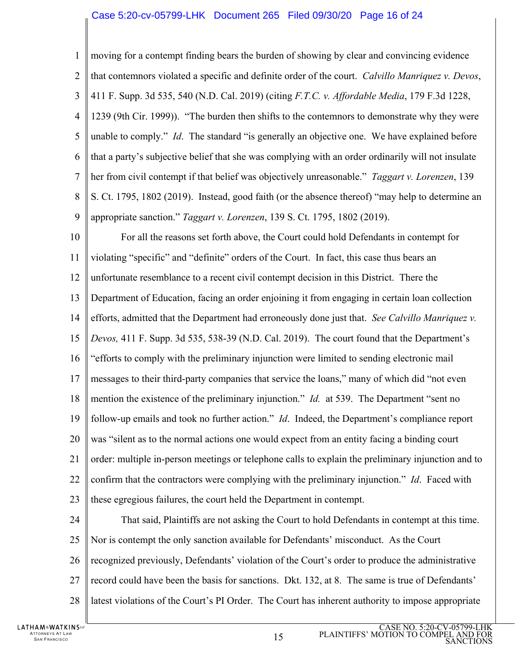### Case 5:20-cv-05799-LHK Document 265 Filed 09/30/20 Page 16 of 24

1  $\mathfrak{D}$ 3 4 5 6 7 8 9 10 11 12 13 14 15 16 17 18 19 20 21 22 23 24 25 26 27 28 moving for a contempt finding bears the burden of showing by clear and convincing evidence that contemnors violated a specific and definite order of the court. *Calvillo Manriquez v. Devos*, 411 F. Supp. 3d 535, 540 (N.D. Cal. 2019) (citing *F.T.C. v. Affordable Media*, 179 F.3d 1228, 1239 (9th Cir. 1999)). "The burden then shifts to the contemnors to demonstrate why they were unable to comply." *Id*. The standard "is generally an objective one. We have explained before that a party's subjective belief that she was complying with an order ordinarily will not insulate her from civil contempt if that belief was objectively unreasonable." *Taggart v. Lorenzen*, 139 S. Ct. 1795, 1802 (2019). Instead, good faith (or the absence thereof) "may help to determine an appropriate sanction." *Taggart v. Lorenzen*, 139 S. Ct. 1795, 1802 (2019). For all the reasons set forth above, the Court could hold Defendants in contempt for violating "specific" and "definite" orders of the Court. In fact, this case thus bears an unfortunate resemblance to a recent civil contempt decision in this District. There the Department of Education, facing an order enjoining it from engaging in certain loan collection efforts, admitted that the Department had erroneously done just that. *See Calvillo Manriquez v. Devos,* 411 F. Supp. 3d 535, 538-39 (N.D. Cal. 2019). The court found that the Department's "efforts to comply with the preliminary injunction were limited to sending electronic mail messages to their third-party companies that service the loans," many of which did "not even mention the existence of the preliminary injunction." *Id.* at 539. The Department "sent no follow-up emails and took no further action." *Id*. Indeed, the Department's compliance report was "silent as to the normal actions one would expect from an entity facing a binding court order: multiple in-person meetings or telephone calls to explain the preliminary injunction and to confirm that the contractors were complying with the preliminary injunction." *Id*. Faced with these egregious failures, the court held the Department in contempt. That said, Plaintiffs are not asking the Court to hold Defendants in contempt at this time. Nor is contempt the only sanction available for Defendants' misconduct. As the Court recognized previously, Defendants' violation of the Court's order to produce the administrative record could have been the basis for sanctions. Dkt. 132, at 8. The same is true of Defendants' latest violations of the Court's PI Order. The Court has inherent authority to impose appropriate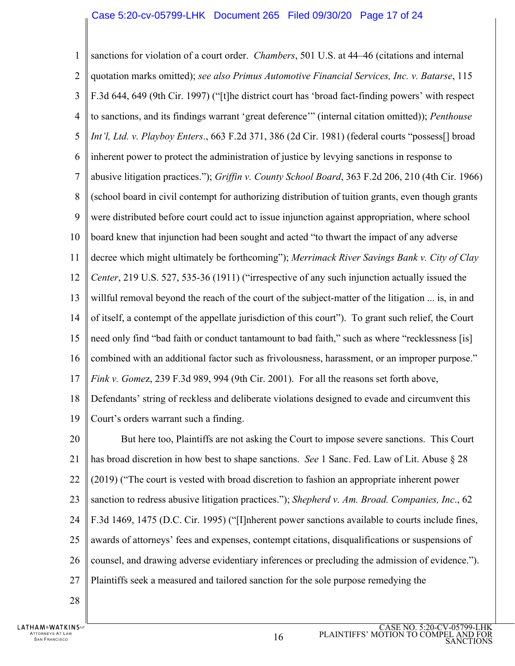### Case 5:20-cv-05799-LHK Document 265 Filed 09/30/20 Page 17 of 24

1  $\mathfrak{D}$ 3 4 5 6 7 8 9 10 11 12 13 14 15 16 17 18 19 sanctions for violation of a court order. *Chambers*, 501 U.S. at 44–46 (citations and internal quotation marks omitted); *see also Primus Automotive Financial Services, Inc. v. Batarse*, 115 F.3d 644, 649 (9th Cir. 1997) ("[t]he district court has 'broad fact-finding powers' with respect to sanctions, and its findings warrant 'great deference'" (internal citation omitted)); *Penthouse Int'l, Ltd. v. Playboy Enters*., 663 F.2d 371, 386 (2d Cir. 1981) (federal courts "possess[] broad inherent power to protect the administration of justice by levying sanctions in response to abusive litigation practices."); *Griffin v. County School Board*, 363 F.2d 206, 210 (4th Cir. 1966) (school board in civil contempt for authorizing distribution of tuition grants, even though grants were distributed before court could act to issue injunction against appropriation, where school board knew that injunction had been sought and acted "to thwart the impact of any adverse decree which might ultimately be forthcoming"); *Merrimack River Savings Bank v. City of Clay Center*, 219 U.S. 527, 535-36 (1911) ("irrespective of any such injunction actually issued the willful removal beyond the reach of the court of the subject-matter of the litigation ... is, in and of itself, a contempt of the appellate jurisdiction of this court"). To grant such relief, the Court need only find "bad faith or conduct tantamount to bad faith," such as where "recklessness [is] combined with an additional factor such as frivolousness, harassment, or an improper purpose." *Fink v. Gome*z, 239 F.3d 989, 994 (9th Cir. 2001). For all the reasons set forth above, Defendants' string of reckless and deliberate violations designed to evade and circumvent this Court's orders warrant such a finding.

20 21 22 23 24 25 26 27 But here too, Plaintiffs are not asking the Court to impose severe sanctions. This Court has broad discretion in how best to shape sanctions. *See* 1 Sanc. Fed. Law of Lit. Abuse § 28 (2019) ("The court is vested with broad discretion to fashion an appropriate inherent power sanction to redress abusive litigation practices."); *Shepherd v. Am. Broad. Companies, Inc*., 62 F.3d 1469, 1475 (D.C. Cir. 1995) ("[I]nherent power sanctions available to courts include fines, awards of attorneys' fees and expenses, contempt citations, disqualifications or suspensions of counsel, and drawing adverse evidentiary inferences or precluding the admission of evidence."). Plaintiffs seek a measured and tailored sanction for the sole purpose remedying the

28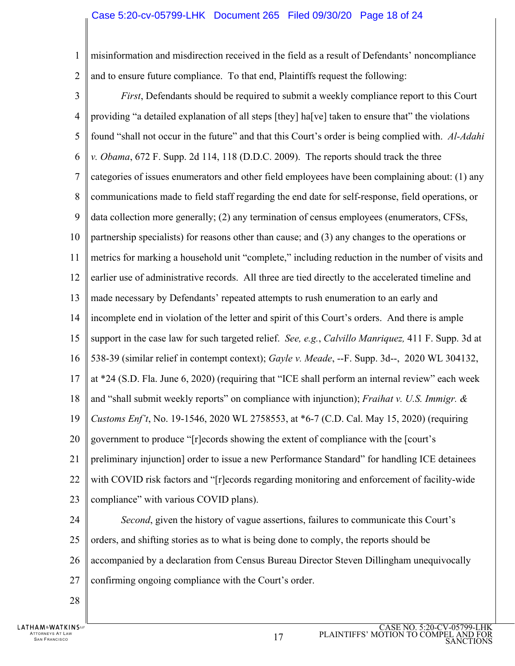## Case 5:20-cv-05799-LHK Document 265 Filed 09/30/20 Page 18 of 24

1 misinformation and misdirection received in the field as a result of Defendants' noncompliance

 $\mathfrak{D}$ 

and to ensure future compliance. To that end, Plaintiffs request the following:

- 3 4 5 6 7 8 9 10 11 12 13 14 15 16 17 18 19 20 21 22 23 *First*, Defendants should be required to submit a weekly compliance report to this Court providing "a detailed explanation of all steps [they] ha[ve] taken to ensure that" the violations found "shall not occur in the future" and that this Court's order is being complied with. *Al-Adahi v. Obama*, 672 F. Supp. 2d 114, 118 (D.D.C. 2009). The reports should track the three categories of issues enumerators and other field employees have been complaining about: (1) any communications made to field staff regarding the end date for self-response, field operations, or data collection more generally; (2) any termination of census employees (enumerators, CFSs, partnership specialists) for reasons other than cause; and (3) any changes to the operations or metrics for marking a household unit "complete," including reduction in the number of visits and earlier use of administrative records. All three are tied directly to the accelerated timeline and made necessary by Defendants' repeated attempts to rush enumeration to an early and incomplete end in violation of the letter and spirit of this Court's orders. And there is ample support in the case law for such targeted relief. *See, e.g.*, *Calvillo Manriquez,* 411 F. Supp. 3d at 538-39 (similar relief in contempt context); *Gayle v. Meade*, --F. Supp. 3d--, 2020 WL 304132, at \*24 (S.D. Fla. June 6, 2020) (requiring that "ICE shall perform an internal review" each week and "shall submit weekly reports" on compliance with injunction); *Fraihat v. U.S. Immigr. & Customs Enf't*, No. 19-1546, 2020 WL 2758553, at \*6-7 (C.D. Cal. May 15, 2020) (requiring government to produce "[r]ecords showing the extent of compliance with the [court's preliminary injunction] order to issue a new Performance Standard" for handling ICE detainees with COVID risk factors and "[r]ecords regarding monitoring and enforcement of facility-wide compliance" with various COVID plans). *Second*, given the history of vague assertions, failures to communicate this Court's
- 24

25 orders, and shifting stories as to what is being done to comply, the reports should be

26 accompanied by a declaration from Census Bureau Director Steven Dillingham unequivocally

- 27 confirming ongoing compliance with the Court's order.
- 28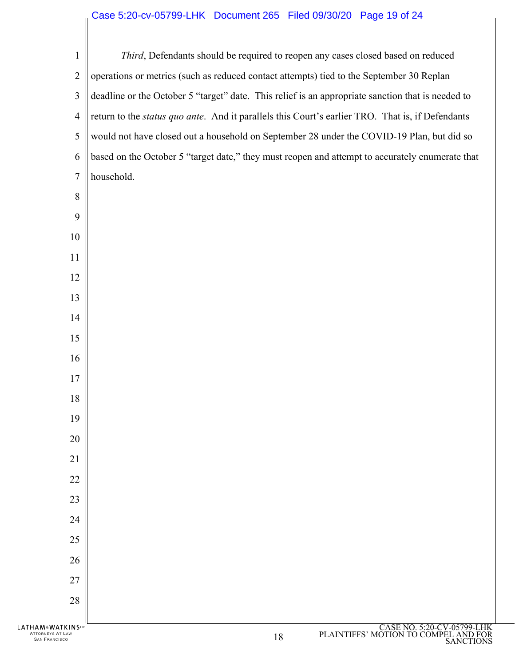# Case 5:20-cv-05799-LHK Document 265 Filed 09/30/20 Page 19 of 24

| HAM&WATKINS™<br>ATTORNEYS AT LAW<br><b>SAN FRANCISCO</b> | CASE NO. 5:20-CV-05799-LHK<br>PLAINTIFFS' MOTION TO COMPEL AND FOR<br>18                                                                                                                              |
|----------------------------------------------------------|-------------------------------------------------------------------------------------------------------------------------------------------------------------------------------------------------------|
|                                                          |                                                                                                                                                                                                       |
| 28                                                       |                                                                                                                                                                                                       |
| 27                                                       |                                                                                                                                                                                                       |
| 26                                                       |                                                                                                                                                                                                       |
| 25                                                       |                                                                                                                                                                                                       |
| 24                                                       |                                                                                                                                                                                                       |
| 23                                                       |                                                                                                                                                                                                       |
| 22                                                       |                                                                                                                                                                                                       |
| 21                                                       |                                                                                                                                                                                                       |
| 20                                                       |                                                                                                                                                                                                       |
| 19                                                       |                                                                                                                                                                                                       |
| 18                                                       |                                                                                                                                                                                                       |
| 17                                                       |                                                                                                                                                                                                       |
| 16                                                       |                                                                                                                                                                                                       |
| 15                                                       |                                                                                                                                                                                                       |
| 14                                                       |                                                                                                                                                                                                       |
| 13                                                       |                                                                                                                                                                                                       |
| 12                                                       |                                                                                                                                                                                                       |
| 11                                                       |                                                                                                                                                                                                       |
| 10                                                       |                                                                                                                                                                                                       |
| 9                                                        |                                                                                                                                                                                                       |
| 8                                                        |                                                                                                                                                                                                       |
| 7                                                        | household.                                                                                                                                                                                            |
| 6                                                        | based on the October 5 "target date," they must reopen and attempt to accurately enumerate that                                                                                                       |
| 5                                                        | would not have closed out a household on September 28 under the COVID-19 Plan, but did so                                                                                                             |
| 3<br>4                                                   | deadline or the October 5 "target" date. This relief is an appropriate sanction that is needed to<br>return to the status quo ante. And it parallels this Court's earlier TRO. That is, if Defendants |
| $\overline{2}$                                           | operations or metrics (such as reduced contact attempts) tied to the September 30 Replan                                                                                                              |
| $\mathbf{1}$                                             | Third, Defendants should be required to reopen any cases closed based on reduced                                                                                                                      |
|                                                          |                                                                                                                                                                                                       |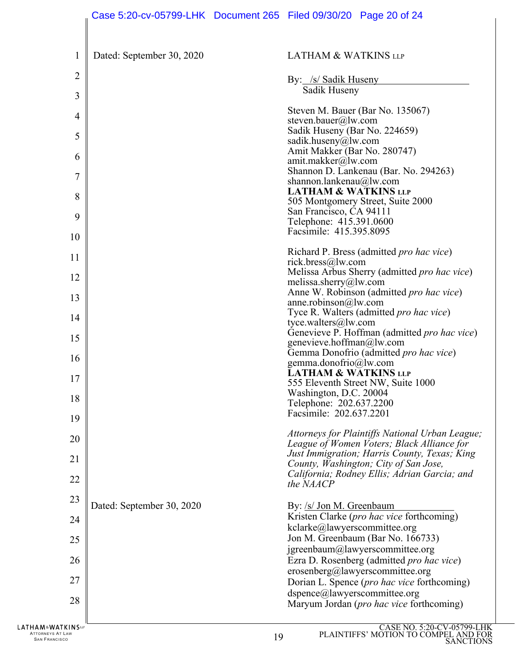| $\mathbf{1}$   | Dated: September 30, 2020 | <b>LATHAM &amp; WATKINS LLP</b>                                                            |
|----------------|---------------------------|--------------------------------------------------------------------------------------------|
| $\overline{2}$ |                           | By: /s/ Sadik Huseny                                                                       |
| 3              |                           | Sadik Huseny                                                                               |
| 4              |                           | Steven M. Bauer (Bar No. 135067)                                                           |
| 5              |                           | steven.bauer@lw.com<br>Sadik Huseny (Bar No. 224659)                                       |
| 6              |                           | sadik.huseny@lw.com<br>Amit Makker (Bar No. 280747)                                        |
|                |                           | amit.makker@lw.com<br>Shannon D. Lankenau (Bar. No. 294263)                                |
| 7              |                           | shannon.lankenau@lw.com<br><b>LATHAM &amp; WATKINS LLP</b>                                 |
| 8              |                           | 505 Montgomery Street, Suite 2000<br>San Francisco, CA 94111                               |
| 9              |                           | Telephone: 415.391.0600<br>Facsimile: 415.395.8095                                         |
| 10             |                           |                                                                                            |
| 11             |                           | Richard P. Bress (admitted <i>pro hac vice</i> )<br>rick.bress@lw.com                      |
| 12             |                           | Melissa Arbus Sherry (admitted pro hac vice)<br>melissa.sherry@lw.com                      |
| 13             |                           | Anne W. Robinson (admitted pro hac vice)<br>anne.robinson@lw.com                           |
| 14             |                           | Tyce R. Walters (admitted pro hac vice)<br>tyce.walters@lw.com                             |
| 15             |                           | Genevieve P. Hoffman (admitted pro hac vice)<br>genevieve.hoffman@lw.com                   |
| 16             |                           | Gemma Donofrio (admitted pro hac vice)                                                     |
| 17             |                           | gemma.donofrio@lw.com<br><b>LATHAM &amp; WATKINS LLP</b>                                   |
| 18             |                           | 555 Eleventh Street NW, Suite 1000<br>Washington, D.C. 20004                               |
| 19             |                           | Telephone: 202.637.2200<br>Facsimile: 202.637.2201                                         |
|                |                           | Attorneys for Plaintiffs National Urban League;                                            |
| 20             |                           | League of Women Voters; Black Alliance for<br>Just Immigration; Harris County, Texas; King |
| 21             |                           | County, Washington; City of San Jose,<br>California; Rodney Ellis; Adrian Garcia; and      |
| 22             |                           | the NAACP                                                                                  |
| 23             | Dated: September 30, 2020 | By: /s/ Jon M. Greenbaum                                                                   |
| 24             |                           | Kristen Clarke (pro hac vice forthcoming)<br>kclarke@lawyerscommittee.org                  |
| 25             |                           | Jon M. Greenbaum (Bar No. 166733)<br>jgreenbaum@lawyerscommittee.org                       |
| 26             |                           | Ezra D. Rosenberg (admitted pro hac vice)                                                  |
| 27             |                           | erosenberg@lawyerscommittee.org<br>Dorian L. Spence (pro hac vice forthcoming)             |
| 28             |                           | dspence@lawyerscommittee.org<br>Maryum Jordan (pro hac vice forthcoming)                   |
| <b>FKINS</b> w |                           | $CASENO$ 5.20-CV-05799-LH                                                                  |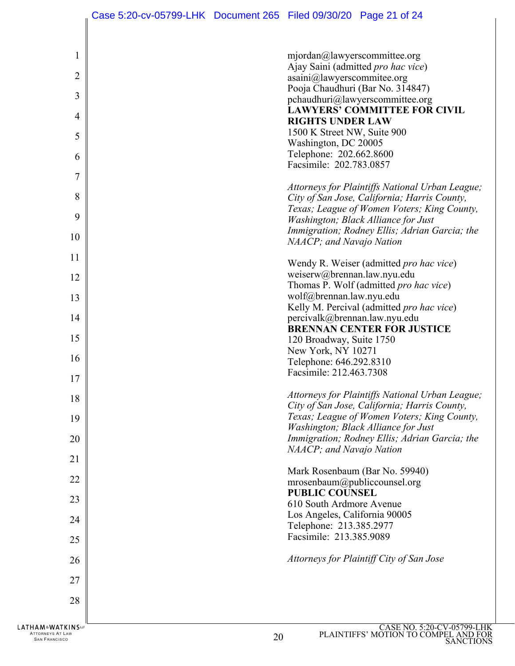| 1     | mjordan@lawyerscommittee.org                                                                |
|-------|---------------------------------------------------------------------------------------------|
| 2     | Ajay Saini (admitted pro hac vice)<br>asaini@lawyerscommitee.org                            |
| 3     | Pooja Chaudhuri (Bar No. 314847)<br>pchaudhuri@lawyerscommittee.org                         |
| 4     | LAWYERS' COMMITTEE FOR CIVIL                                                                |
| 5     | <b>RIGHTS UNDER LAW</b><br>1500 K Street NW, Suite 900                                      |
|       | Washington, DC 20005                                                                        |
| 6     | Telephone: 202.662.8600<br>Facsimile: 202.783.0857                                          |
| 7     | Attorneys for Plaintiffs National Urban League;                                             |
| 8     | City of San Jose, California; Harris County,                                                |
| 9     | Texas; League of Women Voters; King County,<br>Washington; Black Alliance for Just          |
| 10    | Immigration; Rodney Ellis; Adrian Garcia; the<br>NAACP; and Navajo Nation                   |
| 11    |                                                                                             |
| 12    | Wendy R. Weiser (admitted pro hac vice)<br>weiserw@brennan.law.nyu.edu                      |
|       | Thomas P. Wolf (admitted pro hac vice)                                                      |
| 13    | wolf@brennan.law.nyu.edu<br>Kelly M. Percival (admitted pro hac vice)                       |
| 14    | percivalk@brennan.law.nyu.edu                                                               |
|       | <b>BRENNAN CENTER FOR JUSTICE</b>                                                           |
| 15    | 120 Broadway, Suite 1750<br>New York, NY 10271                                              |
| 16    | Telephone: 646.292.8310                                                                     |
| 17    | Facsimile: 212.463.7308                                                                     |
| 18    | Attorneys for Plaintiffs National Urban League;                                             |
|       | City of San Jose, California; Harris County,<br>Texas; League of Women Voters; King County, |
| 19    | Washington; Black Alliance for Just                                                         |
| 20    | Immigration; Rodney Ellis; Adrian Garcia; the<br>NAACP; and Navajo Nation                   |
| 21    |                                                                                             |
| 22    | Mark Rosenbaum (Bar No. 59940)<br>mrosenbaum@publiccounsel.org                              |
| 23    | <b>PUBLIC COUNSEL</b>                                                                       |
|       | 610 South Ardmore Avenue<br>Los Angeles, California 90005                                   |
| 24    | Telephone: 213.385.2977                                                                     |
| 25    | Facsimile: 213.385.9089                                                                     |
| 26    | Attorneys for Plaintiff City of San Jose                                                    |
| 27    |                                                                                             |
| 28    |                                                                                             |
|       |                                                                                             |
| KINS™ | CASE NO. 5:20-CV-05799-LHI                                                                  |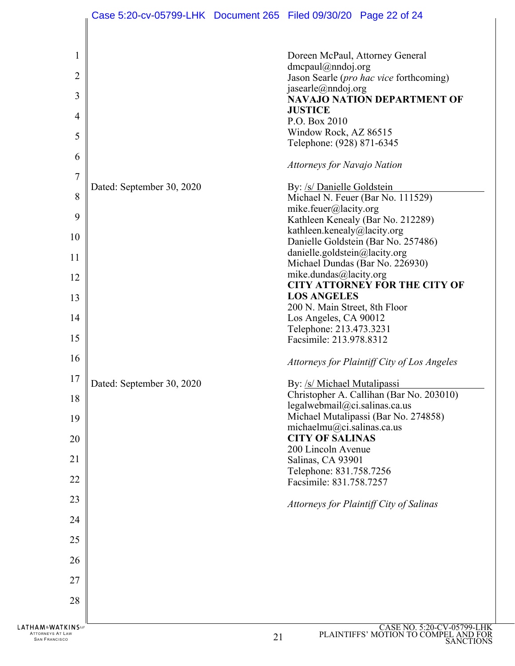| 1<br>$\overline{2}$<br>3<br>4<br>5<br>6                               |                           | Doreen McPaul, Attorney General<br>$d$ mcpaul@nndoj.org<br>Jason Searle (pro hac vice forthcoming)<br>jasearle@nndoj.org<br><b>NAVAJO NATION DEPARTMENT OF</b><br><b>JUSTICE</b><br>P.O. Box 2010<br>Window Rock, AZ 86515<br>Telephone: (928) 871-6345<br>Attorneys for Navajo Nation |
|-----------------------------------------------------------------------|---------------------------|----------------------------------------------------------------------------------------------------------------------------------------------------------------------------------------------------------------------------------------------------------------------------------------|
| 7<br>8<br>9                                                           | Dated: September 30, 2020 | By: /s/ Danielle Goldstein<br>Michael N. Feuer (Bar No. 111529)<br>mike.feuer@lacity.org<br>Kathleen Kenealy (Bar No. 212289)<br>kathleen.kenealy@lacity.org                                                                                                                           |
| 10                                                                    |                           | Danielle Goldstein (Bar No. 257486)                                                                                                                                                                                                                                                    |
| 11                                                                    |                           | danielle.goldstein@lacity.org<br>Michael Dundas (Bar No. 226930)                                                                                                                                                                                                                       |
| 12                                                                    |                           | mike.dundas@lacity.org                                                                                                                                                                                                                                                                 |
| 13                                                                    |                           | <b>CITY ATTORNEY FOR THE CITY OF</b><br><b>LOS ANGELES</b>                                                                                                                                                                                                                             |
|                                                                       |                           | 200 N. Main Street, 8th Floor                                                                                                                                                                                                                                                          |
| 14                                                                    |                           | Los Angeles, CA 90012<br>Telephone: 213.473.3231                                                                                                                                                                                                                                       |
| 15                                                                    |                           | Facsimile: 213.978.8312                                                                                                                                                                                                                                                                |
| 16                                                                    |                           | Attorneys for Plaintiff City of Los Angeles                                                                                                                                                                                                                                            |
| 17                                                                    | Dated: September 30, 2020 | By: /s/ Michael Mutalipassi                                                                                                                                                                                                                                                            |
| 18                                                                    |                           | Christopher A. Callihan (Bar No. 203010)<br>legalwebmail@ci.salinas.ca.us                                                                                                                                                                                                              |
| 19                                                                    |                           | Michael Mutalipassi (Bar No. 274858)                                                                                                                                                                                                                                                   |
| 20                                                                    |                           | michaelmu@ci.salinas.ca.us<br><b>CITY OF SALINAS</b>                                                                                                                                                                                                                                   |
|                                                                       |                           | 200 Lincoln Avenue                                                                                                                                                                                                                                                                     |
| 21                                                                    |                           | Salinas, CA 93901<br>Telephone: 831.758.7256                                                                                                                                                                                                                                           |
| 22                                                                    |                           | Facsimile: 831.758.7257                                                                                                                                                                                                                                                                |
| 23                                                                    |                           | Attorneys for Plaintiff City of Salinas                                                                                                                                                                                                                                                |
| 24                                                                    |                           |                                                                                                                                                                                                                                                                                        |
| 25                                                                    |                           |                                                                                                                                                                                                                                                                                        |
| 26                                                                    |                           |                                                                                                                                                                                                                                                                                        |
| 27                                                                    |                           |                                                                                                                                                                                                                                                                                        |
| 28                                                                    |                           |                                                                                                                                                                                                                                                                                        |
| <b>LATHAM&amp;WATKINS</b><br>ATTORNEYS AT LAW<br><b>SAN FRANCISCO</b> |                           | CASE NO. 5:20-CV-05799-LHK<br>PLAINTIFFS' MOTION TO COMPEL AND FOR<br>21<br><b>SANCTIONS</b>                                                                                                                                                                                           |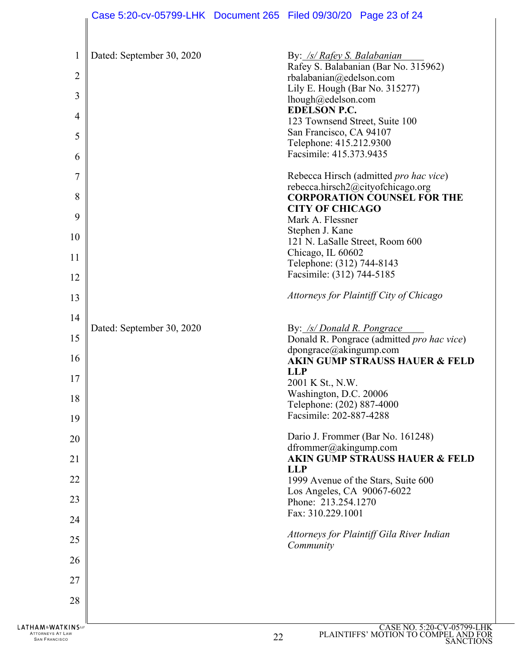| 1<br>2<br>3<br>$\overline{4}$<br>5<br>6                  | Dated: September 30, 2020 | By: /s/ Rafey S. Balabanian<br>Rafey S. Balabanian (Bar No. 315962)<br>rbalabanian@edelson.com<br>Lily E. Hough (Bar No. 315277)<br>lhough@edelson.com<br><b>EDELSON P.C.</b><br>123 Townsend Street, Suite 100<br>San Francisco, CA 94107<br>Telephone: 415.212.9300<br>Facsimile: 415.373.9435 |
|----------------------------------------------------------|---------------------------|--------------------------------------------------------------------------------------------------------------------------------------------------------------------------------------------------------------------------------------------------------------------------------------------------|
| 7                                                        |                           | Rebecca Hirsch (admitted pro hac vice)                                                                                                                                                                                                                                                           |
| 8                                                        |                           | rebecca.hirsch2@cityofchicago.org<br><b>CORPORATION COUNSEL FOR THE</b>                                                                                                                                                                                                                          |
| 9                                                        |                           | <b>CITY OF CHICAGO</b><br>Mark A. Flessner                                                                                                                                                                                                                                                       |
| 10                                                       |                           | Stephen J. Kane                                                                                                                                                                                                                                                                                  |
| 11                                                       |                           | 121 N. LaSalle Street, Room 600<br>Chicago, IL 60602                                                                                                                                                                                                                                             |
|                                                          |                           | Telephone: (312) 744-8143<br>Facsimile: (312) 744-5185                                                                                                                                                                                                                                           |
| 12                                                       |                           | Attorneys for Plaintiff City of Chicago                                                                                                                                                                                                                                                          |
| 13                                                       |                           |                                                                                                                                                                                                                                                                                                  |
| 14                                                       | Dated: September 30, 2020 | By: /s/ Donald R. Pongrace                                                                                                                                                                                                                                                                       |
| 15                                                       |                           | Donald R. Pongrace (admitted pro hac vice)<br>dpongrace@akingump.com<br><b>AKIN GUMP STRAUSS HAUER &amp; FELD</b><br><b>LLP</b>                                                                                                                                                                  |
| 16                                                       |                           |                                                                                                                                                                                                                                                                                                  |
| 17                                                       |                           | 2001 K St., N.W.                                                                                                                                                                                                                                                                                 |
| 18                                                       |                           | Washington, D.C. 20006<br>Telephone: (202) 887-4000                                                                                                                                                                                                                                              |
| 19                                                       |                           | Facsimile: 202-887-4288                                                                                                                                                                                                                                                                          |
| 20                                                       |                           | Dario J. Frommer (Bar No. 161248)<br>dfrommer@akingump.com                                                                                                                                                                                                                                       |
| 21                                                       |                           | <b>AKIN GUMP STRAUSS HAUER &amp; FELD</b><br><b>LLP</b><br>1999 Avenue of the Stars, Suite 600                                                                                                                                                                                                   |
| 22                                                       |                           |                                                                                                                                                                                                                                                                                                  |
| 23                                                       |                           | Los Angeles, CA 90067-6022<br>Phone: 213.254.1270                                                                                                                                                                                                                                                |
| 24                                                       |                           | Fax: 310.229.1001                                                                                                                                                                                                                                                                                |
| 25                                                       |                           | Attorneys for Plaintiff Gila River Indian<br>Community                                                                                                                                                                                                                                           |
| 26                                                       |                           |                                                                                                                                                                                                                                                                                                  |
| 27                                                       |                           |                                                                                                                                                                                                                                                                                                  |
| 28                                                       |                           |                                                                                                                                                                                                                                                                                                  |
|                                                          |                           |                                                                                                                                                                                                                                                                                                  |
| HAM&WATKINSw<br>ATTORNEYS AT LAW<br><b>SAN FRANCISCO</b> |                           | CASE NO. 5:20-CV-05799-L<br>PLAINTIFFS' MOTION TO COMPEL AND F<br>22<br>9 A NATIA                                                                                                                                                                                                                |